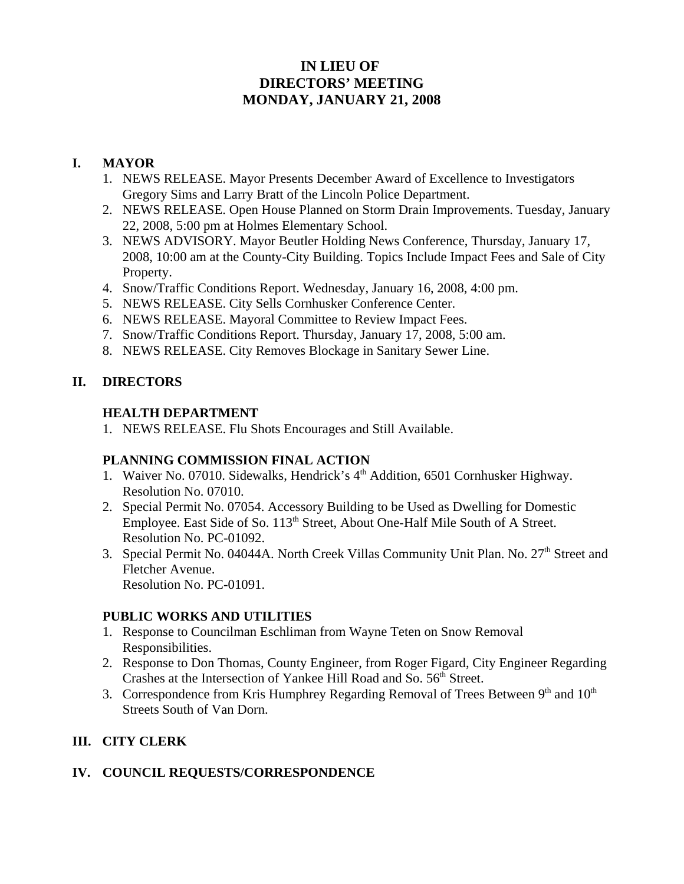# **IN LIEU OF DIRECTORS' MEETING MONDAY, JANUARY 21, 2008**

## **I. MAYOR**

- 1. NEWS RELEASE. Mayor Presents December Award of Excellence to Investigators Gregory Sims and Larry Bratt of the Lincoln Police Department.
- 2. NEWS RELEASE. Open House Planned on Storm Drain Improvements. Tuesday, January 22, 2008, 5:00 pm at Holmes Elementary School.
- 3. NEWS ADVISORY. Mayor Beutler Holding News Conference, Thursday, January 17, 2008, 10:00 am at the County-City Building. Topics Include Impact Fees and Sale of City Property.
- 4. Snow/Traffic Conditions Report. Wednesday, January 16, 2008, 4:00 pm.
- 5. NEWS RELEASE. City Sells Cornhusker Conference Center.
- 6. NEWS RELEASE. Mayoral Committee to Review Impact Fees.
- 7. Snow/Traffic Conditions Report. Thursday, January 17, 2008, 5:00 am.
- 8. NEWS RELEASE. City Removes Blockage in Sanitary Sewer Line.

### **II. DIRECTORS**

#### **HEALTH DEPARTMENT**

1. NEWS RELEASE. Flu Shots Encourages and Still Available.

#### **PLANNING COMMISSION FINAL ACTION**

- 1. Waiver No. 07010. Sidewalks, Hendrick's 4<sup>th</sup> Addition, 6501 Cornhusker Highway. Resolution No. 07010.
- 2. Special Permit No. 07054. Accessory Building to be Used as Dwelling for Domestic Employee. East Side of So. 113<sup>th</sup> Street, About One-Half Mile South of A Street. Resolution No. PC-01092.
- 3. Special Permit No. 04044A. North Creek Villas Community Unit Plan. No. 27<sup>th</sup> Street and Fletcher Avenue. Resolution No. PC-01091.

#### **PUBLIC WORKS AND UTILITIES**

- 1. Response to Councilman Eschliman from Wayne Teten on Snow Removal Responsibilities.
- 2. Response to Don Thomas, County Engineer, from Roger Figard, City Engineer Regarding Crashes at the Intersection of Yankee Hill Road and So. 56<sup>th</sup> Street.
- 3. Correspondence from Kris Humphrey Regarding Removal of Trees Between  $9<sup>th</sup>$  and  $10<sup>th</sup>$ Streets South of Van Dorn.

# **III. CITY CLERK**

#### **IV. COUNCIL REQUESTS/CORRESPONDENCE**